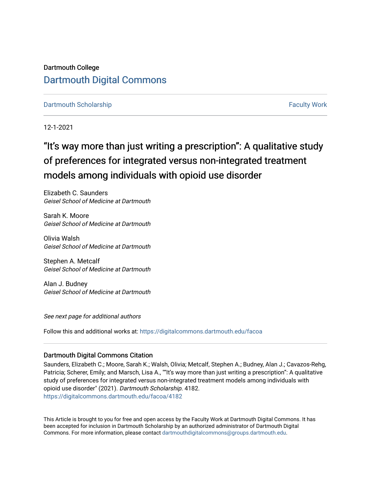## Dartmouth College [Dartmouth Digital Commons](https://digitalcommons.dartmouth.edu/)

## [Dartmouth Scholarship](https://digitalcommons.dartmouth.edu/facoa) [Faculty Work](https://digitalcommons.dartmouth.edu/faculty) and The Basic Scholarship Faculty Work Faculty Work

12-1-2021

# "It's way more than just writing a prescription": A qualitative study of preferences for integrated versus non-integrated treatment models among individuals with opioid use disorder

Elizabeth C. Saunders Geisel School of Medicine at Dartmouth

Sarah K. Moore Geisel School of Medicine at Dartmouth

Olivia Walsh Geisel School of Medicine at Dartmouth

Stephen A. Metcalf Geisel School of Medicine at Dartmouth

Alan J. Budney Geisel School of Medicine at Dartmouth

See next page for additional authors

Follow this and additional works at: [https://digitalcommons.dartmouth.edu/facoa](https://digitalcommons.dartmouth.edu/facoa?utm_source=digitalcommons.dartmouth.edu%2Ffacoa%2F4182&utm_medium=PDF&utm_campaign=PDFCoverPages)

## Dartmouth Digital Commons Citation

Saunders, Elizabeth C.; Moore, Sarah K.; Walsh, Olivia; Metcalf, Stephen A.; Budney, Alan J.; Cavazos-Rehg, Patricia; Scherer, Emily; and Marsch, Lisa A., ""It's way more than just writing a prescription": A qualitative study of preferences for integrated versus non-integrated treatment models among individuals with opioid use disorder" (2021). Dartmouth Scholarship. 4182. [https://digitalcommons.dartmouth.edu/facoa/4182](https://digitalcommons.dartmouth.edu/facoa/4182?utm_source=digitalcommons.dartmouth.edu%2Ffacoa%2F4182&utm_medium=PDF&utm_campaign=PDFCoverPages) 

This Article is brought to you for free and open access by the Faculty Work at Dartmouth Digital Commons. It has been accepted for inclusion in Dartmouth Scholarship by an authorized administrator of Dartmouth Digital Commons. For more information, please contact [dartmouthdigitalcommons@groups.dartmouth.edu](mailto:dartmouthdigitalcommons@groups.dartmouth.edu).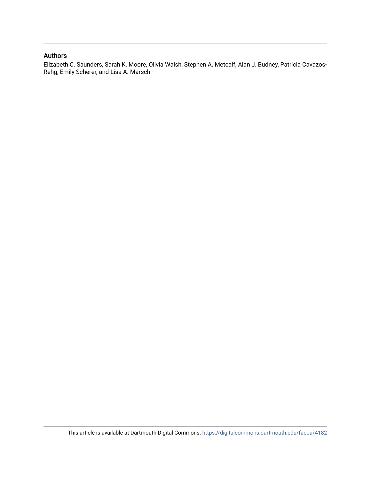## Authors

Elizabeth C. Saunders, Sarah K. Moore, Olivia Walsh, Stephen A. Metcalf, Alan J. Budney, Patricia Cavazos-Rehg, Emily Scherer, and Lisa A. Marsch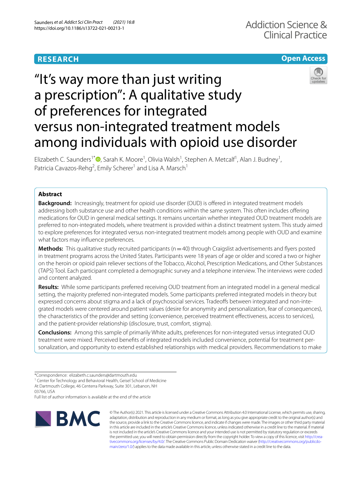## **RESEARCH**

## **Open Access**



# "It's way more than just writing a prescription": A qualitative study of preferences for integrated versus non-integrated treatment models among individuals with opioid use disorder

Elizabeth C. Saunders<sup>1\*</sup><sup>®</sup>[,](http://orcid.org/0000-0002-2728-0001) Sarah K. Moore<sup>1</sup>, Olivia Walsh<sup>1</sup>, Stephen A. Metcalf<sup>1</sup>, Alan J. Budney<sup>1</sup>, Patricia Cavazos-Rehg<sup>2</sup>, Emily Scherer<sup>1</sup> and Lisa A. Marsch<sup>1</sup>

## **Abstract**

**Background:** Increasingly, treatment for opioid use disorder (OUD) is offered in integrated treatment models addressing both substance use and other health conditions within the same system. This often includes ofering medications for OUD in general medical settings. It remains uncertain whether integrated OUD treatment models are preferred to non-integrated models, where treatment is provided within a distinct treatment system. This study aimed to explore preferences for integrated versus non-integrated treatment models among people with OUD and examine what factors may infuence preferences.

**Methods:** This qualitative study recruited participants (n=40) through Craigslist advertisements and flyers posted in treatment programs across the United States. Participants were 18 years of age or older and scored a two or higher on the heroin or opioid pain reliever sections of the Tobacco, Alcohol, Prescription Medications, and Other Substances (TAPS) Tool. Each participant completed a demographic survey and a telephone interview. The interviews were coded and content analyzed.

**Results:** While some participants preferred receiving OUD treatment from an integrated model in a general medical setting, the majority preferred non-integrated models. Some participants preferred integrated models in theory but expressed concerns about stigma and a lack of psychosocial services. Tradeoffs between integrated and non-integrated models were centered around patient values (desire for anonymity and personalization, fear of consequences), the characteristics of the provider and setting (convenience, perceived treatment efectiveness, access to services), and the patient-provider relationship (disclosure, trust, comfort, stigma).

**Conclusions:** Among this sample of primarily White adults, preferences for non-integrated versus integrated OUD treatment were mixed. Perceived benefts of integrated models included convenience, potential for treatment per‑ sonalization, and opportunity to extend established relationships with medical providers. Recommendations to make

Full list of author information is available at the end of the article



© The Author(s) 2021. This article is licensed under a Creative Commons Attribution 4.0 International License, which permits use, sharing, adaptation, distribution and reproduction in any medium or format, as long as you give appropriate credit to the original author(s) and the source, provide a link to the Creative Commons licence, and indicate if changes were made. The images or other third party material in this article are included in the article's Creative Commons licence, unless indicated otherwise in a credit line to the material. If material is not included in the article's Creative Commons licence and your intended use is not permitted by statutory regulation or exceeds the permitted use, you will need to obtain permission directly from the copyright holder. To view a copy of this licence, visit http://crea[tivecommons.org/licenses/by/4.0/.](http://creativecommons.org/licenses/by/4.0/) The Creative Commons Public Domain Dedication waiver (http://creativecommons.org/publicdo[main/zero/1.0/\)](http://creativecommons.org/publicdomain/zero/1.0/) applies to the data made available in this article, unless otherwise stated in a credit line to the data.

<sup>\*</sup>Correspondence: elizabeth.c.saunders@dartmouth.edu

<sup>&</sup>lt;sup>1</sup> Center for Technology and Behavioral Health, Geisel School of Medicine At Dartmouth College, 46 Centerra Parkway, Suite 301, Lebanon, NH 03766, USA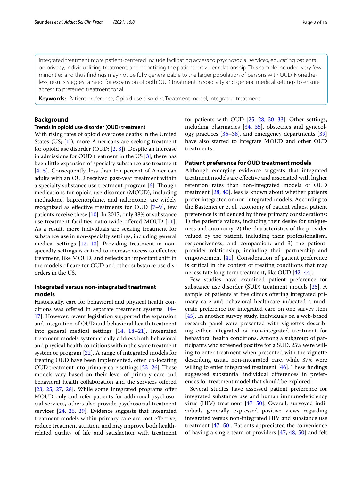integrated treatment more patient-centered include facilitating access to psychosocial services, educating patients on privacy, individualizing treatment, and prioritizing the patient-provider relationship. This sample included very few minorities and thus findings may not be fully generalizable to the larger population of persons with OUD. Nonetheless, results suggest a need for expansion of both OUD treatment in specialty and general medical settings to ensure access to preferred treatment for all.

**Keywords:** Patient preference, Opioid use disorder, Treatment model, Integrated treatment

## **Background**

#### **Trends in opioid use disorder (OUD) treatment**

With rising rates of opioid overdose deaths in the United States (US; [\[1](#page-15-0)]), more Americans are seeking treatment for opioid use disorder (OUD; [\[2](#page-15-1), [3\]](#page-15-2)). Despite an increase in admissions for OUD treatment in the US [\[3](#page-15-2)], there has been little expansion of specialty substance use treatment [[4,](#page-15-3) [5\]](#page-15-4). Consequently, less than ten percent of American adults with an OUD received past-year treatment within a specialty substance use treatment program  $[6]$  $[6]$ . Though medications for opioid use disorder (MOUD), including methadone, buprenorphine, and naltrexone, are widely recognized as efective treatments for OUD [[7–](#page-15-6)[9](#page-15-7)], few patients receive these [\[10\]](#page-15-8). In 2017, only 38% of substance use treatment facilities nationwide ofered MOUD [\[11](#page-15-9)]. As a result, more individuals are seeking treatment for substance use in non-specialty settings, including general medical settings [[12,](#page-15-10) [13](#page-15-11)]. Providing treatment in nonspecialty settings is critical to increase access to efective treatment, like MOUD, and refects an important shift in the models of care for OUD and other substance use disorders in the US.

## **Integrated versus non‑integrated treatment models**

Historically, care for behavioral and physical health conditions was offered in separate treatment systems  $[14-$ [17\]](#page-15-13). However, recent legislation supported the expansion and integration of OUD and behavioral health treatment into general medical settings [\[14](#page-15-12), [18](#page-15-14)[–21\]](#page-15-15). Integrated treatment models systematically address both behavioral and physical health conditions within the same treatment system or program [[22](#page-15-16)]. A range of integrated models for treating OUD have been implemented, often co-locating OUD treatment into primary care settings  $[23-26]$  $[23-26]$  $[23-26]$ . These models vary based on their level of primary care and behavioral health collaboration and the services ofered [[23,](#page-15-17) [25,](#page-15-19) [27](#page-15-20), [28](#page-15-21)]. While some integrated programs offer MOUD only and refer patients for additional psychosocial services, others also provide psychosocial treatment services [[24](#page-15-22), [26,](#page-15-18) [29](#page-15-23)]. Evidence suggests that integrated treatment models within primary care are cost-efective, reduce treatment attrition, and may improve both healthrelated quality of life and satisfaction with treatment for patients with OUD [[25,](#page-15-19) [28,](#page-15-21) [30–](#page-15-24)[33\]](#page-15-25). Other settings, including pharmacies [[34](#page-15-26), [35](#page-15-27)], obstetrics and gynecology practices [[36–](#page-15-28)[38\]](#page-15-29), and emergency departments [[39](#page-15-30)] have also started to integrate MOUD and other OUD treatments.

### **Patient preference for OUD treatment models**

Although emerging evidence suggests that integrated treatment models are efective and associated with higher retention rates than non-integrated models of OUD treatment [\[28](#page-15-21), [40](#page-15-31)], less is known about whether patients prefer integrated or non-integrated models. According to the Bastemeijer et al. taxonomy of patient values, patient preference is infuenced by three primary considerations: 1) the patient's values, including their desire for uniqueness and autonomy; 2) the characteristics of the provider valued by the patient, including their professionalism, responsiveness, and compassion; and 3) the patientprovider relationship, including their partnership and empowerment [\[41\]](#page-15-32). Consideration of patient preference is critical in the context of treating conditions that may necessitate long-term treatment, like OUD [[42](#page-15-33)[–44](#page-16-0)].

Few studies have examined patient preference for substance use disorder (SUD) treatment models [[25\]](#page-15-19). A sample of patients at fve clinics ofering integrated primary care and behavioral healthcare indicated a moderate preference for integrated care on one survey item [[45\]](#page-16-1). In another survey study, individuals on a web-based research panel were presented with vignettes describing either integrated or non-integrated treatment for behavioral health conditions. Among a subgroup of participants who screened positive for a SUD, 25% were willing to enter treatment when presented with the vignette describing usual, non-integrated care, while 37% were willing to enter integrated treatment  $[46]$ . These findings suggested substantial individual diferences in preferences for treatment model that should be explored.

Several studies have assessed patient preference for integrated substance use and human immunodefciency virus (HIV) treatment [[47–](#page-16-3)[50\]](#page-16-4). Overall, surveyed individuals generally expressed positive views regarding integrated versus non-integrated HIV and substance use treatment [\[47](#page-16-3)[–50\]](#page-16-4). Patients appreciated the convenience of having a single team of providers [[47](#page-16-3), [48,](#page-16-5) [50\]](#page-16-4) and felt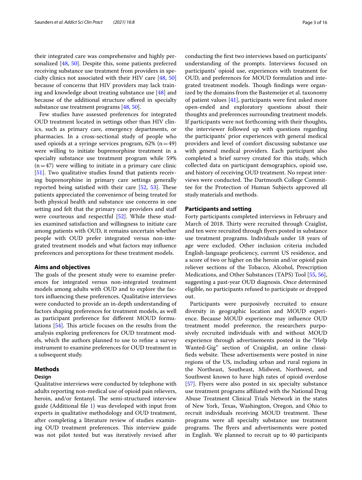their integrated care was comprehensive and highly personalized [[48,](#page-16-5) [50](#page-16-4)]. Despite this, some patients preferred receiving substance use treatment from providers in specialty clinics not associated with their HIV care [\[48](#page-16-5), [50](#page-16-4)] because of concerns that HIV providers may lack training and knowledge about treating substance use [[48\]](#page-16-5) and because of the additional structure ofered in specialty substance use treatment programs [[48](#page-16-5), [50\]](#page-16-4).

Few studies have assessed preferences for integrated OUD treatment located in settings other than HIV clinics, such as primary care, emergency departments, or pharmacies. In a cross-sectional study of people who used opioids at a syringe services program,  $62\%$  (n=49) were willing to initiate buprenorphine treatment in a specialty substance use treatment program while 59%  $(n=47)$  were willing to initiate in a primary care clinic [[51\]](#page-16-6). Two qualitative studies found that patients receiving buprenorphine in primary care settings generally reported being satisfied with their care  $[52, 53]$  $[52, 53]$  $[52, 53]$  $[52, 53]$ . These patients appreciated the convenience of being treated for both physical health and substance use concerns in one setting and felt that the primary care providers and staf were courteous and respectful [\[52\]](#page-16-7). While these studies examined satisfaction and willingness to initiate care among patients with OUD, it remains uncertain whether people with OUD prefer integrated versus non-integrated treatment models and what factors may infuence preferences and perceptions for these treatment models.

#### **Aims and objectives**

The goals of the present study were to examine preferences for integrated versus non-integrated treatment models among adults with OUD and to explore the factors infuencing these preferences. Qualitative interviews were conducted to provide an in-depth understanding of factors shaping preferences for treatment models, as well as participant preference for diferent MOUD formu-lations [[54](#page-16-9)]. This article focuses on the results from the analysis exploring preferences for OUD treatment models, which the authors planned to use to refne a survey instrument to examine preferences for OUD treatment in a subsequent study.

#### **Methods**

#### **Design**

Qualitative interviews were conducted by telephone with adults reporting non-medical use of opioid pain relievers, heroin, and/or fentanyl. The semi-structured interview guide (Additional fle [1](#page-14-0)) was developed with input from experts in qualitative methodology and OUD treatment, after completing a literature review of studies examining OUD treatment preferences. This interview guide was not pilot tested but was iteratively revised after conducting the frst two interviews based on participants' understanding of the prompts. Interviews focused on participants' opioid use, experiences with treatment for OUD, and preferences for MOUD formulation and integrated treatment models. Though findings were organized by the domains from the Bastemeijer et al. taxonomy of patient values [[41\]](#page-15-32), participants were frst asked more open-ended and exploratory questions about their thoughts and preferences surrounding treatment models. If participants were not forthcoming with their thoughts, the interviewer followed up with questions regarding the participants' prior experiences with general medical providers and level of comfort discussing substance use with general medical providers. Each participant also completed a brief survey created for this study, which collected data on participant demographics, opioid use, and history of receiving OUD treatment. No repeat interviews were conducted. The Dartmouth College Committee for the Protection of Human Subjects approved all study materials and methods.

#### **Participants and setting**

Forty participants completed interviews in February and March of 2018. Thirty were recruited through Craiglist, and ten were recruited through fyers posted in substance use treatment programs. Individuals under 18 years of age were excluded. Other inclusion criteria included English-language profciency, current US residence, and a score of two or higher on the heroin and/or opioid pain reliever sections of the Tobacco, Alcohol, Prescription Medications, and Other Substances (TAPS) Tool [[55,](#page-16-10) [56](#page-16-11)], suggesting a past-year OUD diagnosis. Once determined eligible, no participants refused to participate or dropped out.

Participants were purposively recruited to ensure diversity in geographic location and MOUD experience. Because MOUD experience may infuence OUD treatment model preference, the researchers purposively recruited individuals with and without MOUD experience through advertisements posted in the "Help Wanted-Gig" section of Craigslist, an online classifieds website. These advertisements were posted in nine regions of the US, including urban and rural regions in the Northeast, Southeast, Midwest, Northwest, and Southwest known to have high rates of opioid overdose [[57\]](#page-16-12). Flyers were also posted in six specialty substance use treatment programs afliated with the National Drug Abuse Treatment Clinical Trials Network in the states of New York, Texas, Washington, Oregon, and Ohio to recruit individuals receiving MOUD treatment. These programs were all specialty substance use treatment programs. The flyers and advertisements were posted in English. We planned to recruit up to 40 participants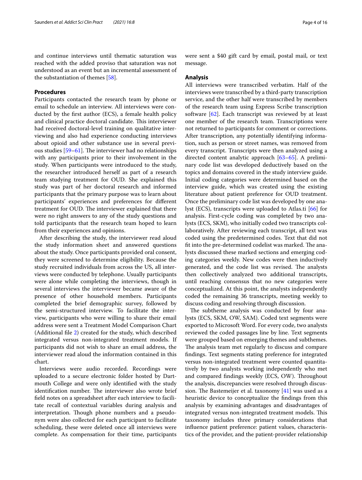and continue interviews until thematic saturation was reached with the added proviso that saturation was not understood as an event but an incremental assessment of the substantiation of themes [[58\]](#page-16-13).

## **Procedures**

Participants contacted the research team by phone or email to schedule an interview. All interviews were conducted by the frst author (ECS), a female health policy and clinical practice doctoral candidate. This interviewer had received doctoral-level training on qualitative interviewing and also had experience conducting interviews about opioid and other substance use in several previous studies  $[59-61]$  $[59-61]$ . The interviewer had no relationships with any participants prior to their involvement in the study. When participants were introduced to the study, the researcher introduced herself as part of a research team studying treatment for OUD. She explained this study was part of her doctoral research and informed participants that the primary purpose was to learn about participants' experiences and preferences for diferent treatment for OUD. The interviewer explained that there were no right answers to any of the study questions and told participants that the research team hoped to learn from their experiences and opinions.

After describing the study, the interviewer read aloud the study information sheet and answered questions about the study. Once participants provided oral consent, they were screened to determine eligibility. Because the study recruited individuals from across the US, all interviews were conducted by telephone. Usually participants were alone while completing the interviews, though in several interviews the interviewer became aware of the presence of other household members. Participants completed the brief demographic survey, followed by the semi-structured interview. To facilitate the interview, participants who were willing to share their email address were sent a Treatment Model Comparison Chart (Additional fle [2\)](#page-14-1) created for the study, which described integrated versus non-integrated treatment models. If participants did not wish to share an email address, the interviewer read aloud the information contained in this chart.

Interviews were audio recorded. Recordings were uploaded to a secure electronic folder hosted by Dartmouth College and were only identifed with the study identification number. The interviewer also wrote brief feld notes on a spreadsheet after each interview to facilitate recall of contextual variables during analysis and interpretation. Though phone numbers and a pseudonym were also collected for each participant to facilitate scheduling, these were deleted once all interviews were complete. As compensation for their time, participants were sent a \$40 gift card by email, postal mail, or text message.

## **Analysis**

All interviews were transcribed verbatim. Half of the interviews were transcribed by a third-party transcription service, and the other half were transcribed by members of the research team using Express Scribe transcription software [[62\]](#page-16-16). Each transcript was reviewed by at least one member of the research team. Transcriptions were not returned to participants for comment or corrections. After transcription, any potentially identifying information, such as person or street names, was removed from every transcript. Transcripts were then analyzed using a directed content analytic approach [\[63](#page-16-17)[–65\]](#page-16-18). A preliminary code list was developed deductively based on the topics and domains covered in the study interview guide. Initial coding categories were determined based on the interview guide, which was created using the existing literature about patient preference for OUD treatment. Once the preliminary code list was developed by one analyst (ECS), transcripts were uploaded to Atlas.ti [\[66](#page-16-19)] for analysis. First-cycle coding was completed by two analysts (ECS, SKM), who initially coded two transcripts collaboratively. After reviewing each transcript, all text was coded using the predetermined codes. Text that did not fit into the pre-determined codelist was marked. The analysts discussed these marked sections and emerging coding categories weekly. New codes were then inductively generated, and the code list was revised. The analysts then collectively analyzed two additional transcripts, until reaching consensus that no new categories were conceptualized. At this point, the analysts independently coded the remaining 36 transcripts, meeting weekly to discuss coding and resolving through discussion.

The subtheme analysis was conducted by four analysts (ECS, SKM, OW, SAM). Coded text segments were exported to Microsoft Word. For every code, two analysts reviewed the coded passages line by line. Text segments were grouped based on emerging themes and subthemes. The analysis team met regularly to discuss and compare fndings. Text segments stating preference for integrated versus non-integrated treatment were counted quantitatively by two analysts working independently who met and compared findings weekly (ECS, OW). Throughout the analysis, discrepancies were resolved through discussion. The Bastemeijer et al. taxonomy  $[41]$  $[41]$  was used as a heuristic device to conceptualize the fndings from this analysis by examining advantages and disadvantages of integrated versus non-integrated treatment models. This taxonomy includes three primary considerations that infuence patient preference: patient values, characteristics of the provider, and the patient-provider relationship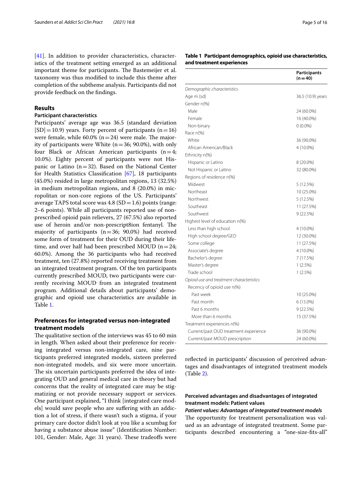[[41\]](#page-15-32). In addition to provider characteristics, characteristics of the treatment setting emerged as an additional important theme for participants. The Bastemeijer et al. taxonomy was thus modifed to include this theme after completion of the subtheme analysis. Participants did not provide feedback on the fndings.

#### **Results**

## **Participant characteristics**

Participants' average age was 36.5 (standard deviation  $[SD]=10.9$ ) years. Forty percent of participants (n=16) were female, while  $60.0\%$  ( $n=24$ ) were male. The majority of participants were White  $(n=36; 90.0\%)$ , with only four Black or African American participants  $(n=4;$ 10.0%). Eighty percent of participants were not Hispanic or Latino  $(n=32)$ . Based on the National Center for Health Statistics Classifcation [[67\]](#page-16-20), 18 participants (45.0%) resided in large metropolitan regions, 13 (32.5%) in medium metropolitan regions, and 8 (20.0%) in micropolitan or non-core regions of the US. Participants' average TAPS total score was  $4.8$  (SD = 1.6) points (range: 2–6 points). While all participants reported use of nonprescribed opioid pain relievers, 27 (67.5%) also reported use of heroin and/or non-prescript8ion fentanyl. The majority of participants  $(n=36; 90.0%)$  had received some form of treatment for their OUD during their lifetime, and over half had been prescribed MOUD ( $n=24$ ; 60.0%). Among the 36 participants who had received treatment, ten (27.8%) reported receiving treatment from an integrated treatment program. Of the ten participants currently prescribed MOUD, two participants were currently receiving MOUD from an integrated treatment program. Additional details about participants' demographic and opioid use characteristics are available in Table [1](#page-6-0).

## **Preferences for integrated versus non‑integrated treatment models**

The qualitative section of the interviews was 45 to 60 min in length. When asked about their preference for receiving integrated versus non-integrated care, nine participants preferred integrated models, sixteen preferred non-integrated models, and six were more uncertain. The six uncertain participants preferred the idea of integrating OUD and general medical care in theory but had concerns that the reality of integrated care may be stigmatizing or not provide necessary support or services. One participant explained, "I think [integrated care models] would save people who are sufering with an addiction a lot of stress, if there wasn't such a stigma, if your primary care doctor didn't look at you like a scumbag for having a substance abuse issue" (Identifcation Number: 101, Gender: Male, Age: 31 years). These tradeoffs were

### <span id="page-6-0"></span>**Table 1 Participant demographics, opioid use characteristics, and treatment experiences**

|                                          | <b>Participants</b><br>(n = 40) |
|------------------------------------------|---------------------------------|
| Demographic characteristics              |                                 |
| Age m (sd)                               | 36.5 (10.9) years               |
| Gender n(%)                              |                                 |
| Male                                     | 24 (60.0%)                      |
| Female                                   | 16 (40.0%)                      |
| Non-binary                               | $0(0.0\%)$                      |
| Race $n\%$                               |                                 |
| White                                    | 36 (90.0%)                      |
| African American/Black                   | 4 (10.0%)                       |
| Ethnicity n(%)                           |                                 |
| Hispanic or Latino                       | 8 (20.0%)                       |
| Not Hispanic or Latino                   | 32 (80.0%)                      |
| Regions of residence n(%)                |                                 |
| Midwest                                  | 5 (12.5%)                       |
| Northeast                                | 10 (25.0%)                      |
| Northwest                                | 5 (12.5%)                       |
| Southeast                                | 11 (27.5%)                      |
| Southwest                                | 9(22.5%)                        |
| Highest level of education n(%)          |                                 |
| Less than high school                    | 4 (10.0%)                       |
| High school degree/GED                   | 12 (30.0%)                      |
| Some college                             | 11 (27.5%)                      |
| Associate's degree                       | 4 (10.0%)                       |
| Bachelor's degree                        | 7 (17.5%)                       |
| Master's degree                          | 1(2.5%)                         |
| Trade school                             | 1(2.5%)                         |
| Opioid use and treatment characteristics |                                 |
| Recency of opioid use n(%)               |                                 |
| Past week                                | 10 (25.0%)                      |
| Past month                               | 6 (15.0%)                       |
| Past 6 months                            | 9(22.5%)                        |
| More than 6 months                       | 15 (37.5%)                      |
| Treatment experiences n(%)               |                                 |
| Current/past OUD treatment experience    | 36 (90.0%)                      |
| Current/past MOUD prescription           | 24 (60.0%)                      |

reflected in participants' discussion of perceived advantages and disadvantages of integrated treatment models (Table [2\)](#page-7-0).

## **Perceived advantages and disadvantages of integrated treatment models: Patient values**

#### *Patient values: Advantages of integrated treatment models*

The opportunity for treatment personalization was valued as an advantage of integrated treatment. Some participants described encountering a "one-size-fts-all"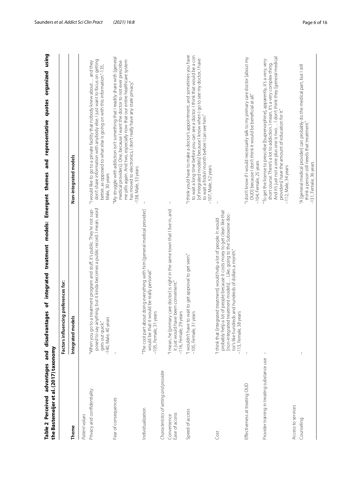<span id="page-7-0"></span>

| the Bastemeijer et al. (2017) taxonomy      | integrated treatment models:<br>advantages and disadvantages                                                                                                                                                                                                                                                           | using<br>organized<br>quotes<br>representative<br>and<br>Emergent themes                                                                                                                                                                                                                                                                |
|---------------------------------------------|------------------------------------------------------------------------------------------------------------------------------------------------------------------------------------------------------------------------------------------------------------------------------------------------------------------------|-----------------------------------------------------------------------------------------------------------------------------------------------------------------------------------------------------------------------------------------------------------------------------------------------------------------------------------------|
|                                             | Factors influencing preferences for:                                                                                                                                                                                                                                                                                   |                                                                                                                                                                                                                                                                                                                                         |
| Theme                                       | Integrated models                                                                                                                                                                                                                                                                                                      | Non-integrated models                                                                                                                                                                                                                                                                                                                   |
| Patient values                              |                                                                                                                                                                                                                                                                                                                        |                                                                                                                                                                                                                                                                                                                                         |
| Privacy and confidentiality                 | posed to say anything, but it kinda becomes a public record. I mean, word<br>"When you go to a treatment program and stuff, it's public. They're not sup-<br>$-140$ , Male, 40 years<br>gets out quick."                                                                                                               | don't share information with anybody else. I just want to focus on getting<br>"I would like to go to a private facility that nobody knew about and they<br>better, as opposed to what else is going on with this information."-135,<br>Male, 30 years                                                                                   |
| Fear of consequences                        |                                                                                                                                                                                                                                                                                                                        | "My struggle with addiction isn't something that I readily share with [general<br>me pills again. And two, especially now that our entire healthcare system<br>medical providers]. One, because I want the doctor to not ever prescribe<br>has moved to electronics, I don't really have any state privacy."<br>$-138$ , Male, 33 years |
| Individualization                           | "The cool part about doing everything with him [general medical provider]<br>would be that it would be really personal."<br>years<br>-105, Female, 31                                                                                                                                                                  |                                                                                                                                                                                                                                                                                                                                         |
| Characteristics of setting and provider     |                                                                                                                                                                                                                                                                                                                        |                                                                                                                                                                                                                                                                                                                                         |
| Ease of access<br>Convenience               | "I mean, he [primary care doctor] is right in the same town that I live in, and<br>it just would have been convenient."<br>-116, Female, 29 years                                                                                                                                                                      | $\overline{\phantom{a}}$                                                                                                                                                                                                                                                                                                                |
| Speed of access                             | "I wouldn't have to wait to get approval to get seen."<br>years<br>$-105$ , Female, 31                                                                                                                                                                                                                                 | "I think you'd have to make a doctor's appointment, and sometimes you have<br>to wait a long time before you can see a doctor. I think that would be a con<br>[of integrated models] because I know when I go to see my doctor, I have<br>to wait a frickin' month before I can see him."<br>-107, Male, 52 years                       |
| Cost                                        | probably help a lot of people because it costs moey to get clean like that<br>[non-integrated treatment models] Like, going to the Suboxone doc-<br>"I think that [integrated treatment] would help a lot of people. It would<br>tor's like hundreds and hundreds of dollars a month."<br>years<br>$-113$ , Female, 38 |                                                                                                                                                                                                                                                                                                                                         |
| Effectiveness at treating OUD               |                                                                                                                                                                                                                                                                                                                        | "I don't know if I would necessarily talk to my primary care doctor [about my<br>OUD] because I don't think it would be beneficial at all."<br>-104, Female, 25 years                                                                                                                                                                   |
| Provider training in treating substance use | I                                                                                                                                                                                                                                                                                                                      | And it's just not a one plus one is two I don't think they [general medical<br>"To get the license to prescribe [buprenorphine], apparently, it's a very, very<br>short course. There's a lot to addiction. I mean, it's a very complex thing.<br>providers] have the amount of education for it."<br>-112, Male, 34 years              |
| Access to services                          |                                                                                                                                                                                                                                                                                                                        |                                                                                                                                                                                                                                                                                                                                         |
| Counseling                                  |                                                                                                                                                                                                                                                                                                                        | "A [general medical provider] can probably do the medical part, but I still<br>think a person still needs that treatment."<br>-131, Female, 36 years                                                                                                                                                                                    |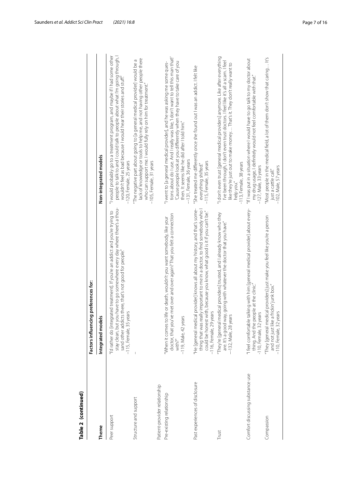| Table 2 (continued)              |                                                                                                                                                                                                                                                                 |                                                                                                                                                                                                                                                                                                                       |
|----------------------------------|-----------------------------------------------------------------------------------------------------------------------------------------------------------------------------------------------------------------------------------------------------------------|-----------------------------------------------------------------------------------------------------------------------------------------------------------------------------------------------------------------------------------------------------------------------------------------------------------------------|
|                                  | Factors influencing preferences for:                                                                                                                                                                                                                            |                                                                                                                                                                                                                                                                                                                       |
| Theme                            | Integrated models                                                                                                                                                                                                                                               | Non-integrated models                                                                                                                                                                                                                                                                                                 |
| Peer support                     | stay clean, but you have to go somewhere every day where there's a thou-<br>"I'd rather do [integrated treatment]. If you're an addict and you're trying to<br>sand other addicts there, that's not good for people."<br>vears<br>$-115$ , Female, 35 $y$       | people to talk to and I could talk to people about what I'm going through, I<br>wouldn't feel as bad because I would hear their stories and stuff."<br>"I would probably go to a treatment program, and maybe if I had some other<br>-120, Female, 25 years                                                           |
| Structure and support            |                                                                                                                                                                                                                                                                 | lack of knowledge or tools to help me, and not having other people there<br>"The negative part about going to [a general medical provider] would be a<br>who can support me. I would fully rely on him for treatment."<br>-105, Female, 31 years                                                                      |
| Patient-provider relationship    |                                                                                                                                                                                                                                                                 |                                                                                                                                                                                                                                                                                                                       |
| Pre-existing relationship        | doctor, that you've met over and over again? That you felt a connection<br>"When it comes to life or death, wouldn't you want somebody, like your<br>-119, Male, 42 years<br>with?"                                                                             | tions about do I use. And I really was like, 'I don't want to tell this man that!'<br>Cause people look at you differently when they have to take care of you<br>"I went to [a general medical provider], and he was asking me some ques-<br>then. It seems like he did after I told him."<br>--131, Female, 36 years |
| Past experiences of disclosure   | 'He [general medical provider] knows all about my history, and that's some-<br>thing that was really important to me in a doctor, to find somebody who l<br>could be honest with, because you know, what good is it if you can't be."<br>-116, Female, 29 years | "She treated me differently once she found out I was an addict. I felt like<br>-115, Female, 35 years<br>everything shifted."                                                                                                                                                                                         |
| Trust                            | medical providers] trusted, and I already know who they<br>are. It's a good way, going with whatever the doctor that you have."<br>—132, Male, 28 years<br>"They're [general                                                                                    | "I don't even trust [general medical providers] anymore. Like after everything<br>I've been through, I don't even trust doctors. I feel like it's all a scam. I feel<br>like they're just out to make money That's it. They don't really want to<br>$-113$ , Female, 38 years<br>help you."                           |
| Comfort discussing substance use | "I feel comfortable talking with him [general medical provider] about every-<br>thing. And the people at the clinic."<br>-110, Female, 32 years                                                                                                                 | "If I was put in a situation where I would have to go talk to my doctor about<br>my drug usage, I definitely would not feel comfortable with that."<br>$-127$ , Male, 33 years                                                                                                                                        |
| Compassion                       | "They [general medical providers] just make you feel like you're a person<br>and not just like a frickin' junk box."<br>-110, Female, 32 years                                                                                                                  | "Most people in the medical field, a lot of them don't show that caring It's<br>-102, Male, 57 years<br>just a cattle call."                                                                                                                                                                                          |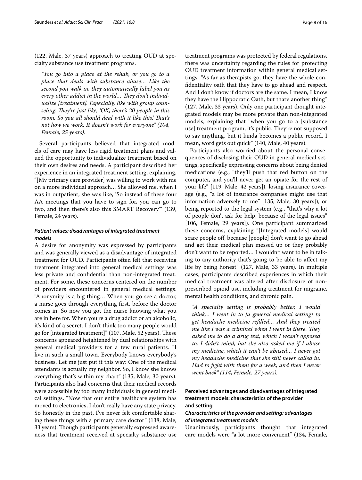(122, Male, 37 years) approach to treating OUD at specialty substance use treatment programs.

*"You go into a place at the rehab, or you go to a place that deals with substance abuse… Like the second you walk in, they automatically label you as*  every other addict in the world... They don't individ*ualize [treatment]. Especially, like with group counseling. They're just like, 'OK, there's 20 people in this* room. So you all should deal with it like this.' That's *not how we work. It doesn't work for everyone" (104, Female, 25 years).*

Several participants believed that integrated models of care may have less rigid treatment plans and valued the opportunity to individualize treatment based on their own desires and needs. A participant described her experience in an integrated treatment setting, explaining, "[My primary care provider] was willing to work with me on a more individual approach… She allowed me, when I was in outpatient, she was like, 'So instead of these four AA meetings that you have to sign for, you can go to two, and then there's also this SMART Recovery'" (139, Female, 24 years).

## *Patient values: disadvantages of integrated treatment models*

A desire for anonymity was expressed by participants and was generally viewed as a disadvantage of integrated treatment for OUD. Participants often felt that receiving treatment integrated into general medical settings was less private and confdential than non-integrated treatment. For some, these concerns centered on the number of providers encountered in general medical settings. "Anonymity is a big thing… When you go see a doctor, a nurse goes through everything frst, before the doctor comes in. So now you got the nurse knowing what you are in here for. When you're a drug addict or an alcoholic, it's kind of a secret. I don't think too many people would go for [integrated treatment]" (107, Male, 52 years). These concerns appeared heightened by dual relationships with general medical providers for a few rural patients. "I live in such a small town. Everybody knows everybody's business. Let me just put it this way: One of the medical attendants is actually my neighbor. So, I know she knows everything that's within my chart" (135, Male, 30 years). Participants also had concerns that their medical records were accessible by too many individuals in general medical settings. "Now that our entire healthcare system has moved to electronics, I don't really have any state privacy. So honestly in the past, I've never felt comfortable sharing these things with a primary care doctor" (138, Male, 33 years). Though participants generally expressed awareness that treatment received at specialty substance use treatment programs was protected by federal regulations, there was uncertainty regarding the rules for protecting OUD treatment information within general medical settings. "As far as therapists go, they have the whole confdentiality oath that they have to go ahead and respect. And I don't know if doctors are the same. I mean, I know they have the Hippocratic Oath, but that's another thing" (127, Male, 33 years). Only one participant thought integrated models may be more private than non-integrated models, explaining that "when you go to a [substance

use] treatment program, it's public. They're not supposed to say anything, but it kinda becomes a public record. I

mean, word gets out quick" (140, Male, 40 years).

Participants also worried about the personal consequences of disclosing their OUD in general medical settings, specifcally expressing concerns about being denied medications (e.g., "they'll push that red button on the computer, and you'll never get an opiate for the rest of your life" [119, Male, 42 years]), losing insurance coverage (e.g., "a lot of insurance companies might use that information adversely to me" [135, Male, 30 years]), or being reported to the legal system (e.g., "that's why a lot of people don't ask for help, because of the legal issues" [106, Female, 29 years]). One participant summarized these concerns, explaining "[Integrated models] would scare people of, because [people] don't want to go ahead and get their medical plan messed up or they probably don't want to be reported… I wouldn't want to be in talking to any authority that's going to be able to afect my life by being honest" (127, Male, 33 years). In multiple cases, participants described experiences in which their medical treatment was altered after disclosure of nonprescribed opioid use, including treatment for migraine, mental health conditions, and chronic pain.

*"A specialty setting is probably better, I would think… I went in to [a general medical setting] to get headache medicine reflled… And they treated me like I was a criminal when I went in there. They asked me to do a drug test, which I wasn't opposed to, I didn't mind, but she also asked me if I abuse my medicine, which it can't be abused… I never got my headache medicine that she still never called in. Had to fght with them for a week, and then I never went back" (114, Female, 27 years).*

## **Perceived advantages and disadvantages of integrated treatment models: characteristics of the provider and setting**

## *Characteristics of the provider and setting: advantages of integrated treatment models*

Unanimously, participants thought that integrated care models were "a lot more convenient" (134, Female,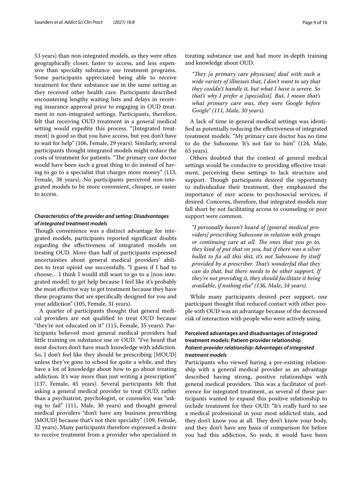53 years) than non-integrated models, as they were often geographically closer, faster to access, and less expensive than specialty substance use treatment programs. Some participants appreciated being able to receive treatment for their substance use in the same setting as they received other health care. Participants described encountering lengthy waiting lists and delays in receiving insurance approval prior to engaging in OUD treatment in non-integrated settings. Participants, therefore, felt that receiving OUD treatment in a general medical setting would expedite this process. "[Integrated treatment] is good so that you have access, but you don't have to wait for help" (106, Female, 29 years). Similarly, several participants thought integrated models might reduce the costs of treatment for patients. "The primary care doctor would have been such a great thing to do instead of having to go to a specialist that charges more money" (113, Female, 38 years). No participants perceived non-integrated models to be more convenient, cheaper, or easier to access.

## *Characteristics of the provider and setting: Disadvantages of integrated treatment models*

Though convenience was a distinct advantage for integrated models, participants reported signifcant doubts regarding the efectiveness of integrated models on treating OUD. More than half of participants expressed uncertainties about general medical providers' abilities to treat opioid use successfully. "I guess if I had to choose… I think I would still want to go to a [non-integrated model] to get help because I feel like it's probably the most efective way to get treatment because they have these programs that are specifcally designed for you and your addiction" (105, Female, 31 years).

A quarter of participants thought that general medical providers are not qualifed to treat OUD because "they're not educated on it" (115, Female, 35 years). Participants believed most general medical providers had little training on substance use or OUD. "I've heard that most doctors don't have much knowledge with addiction. So, I don't feel like they should be prescribing [MOUD] unless they've gone to school for quite a while, and they have a lot of knowledge about how to go about treating addiction. It's way more than just writing a prescription" (137, Female, 45 years). Several participants felt that asking a general medical provider to treat OUD, rather than a psychiatrist, psychologist, or counselor, was "asking to fail" (111, Male, 30 years) and thought general medical providers "don't have any business prescribing [MOUD] because that's not their specialty" (109, Female, 32 years). Many participants therefore expressed a desire to receive treatment from a provider who specialized in treating substance use and had more in-depth training and knowledge about OUD.

*"Tey [a primary care physician] deal with such a wide variety of illnesses that, I don't want to say that they couldn't handle it, but what I have is severe. So that's why I prefer a [specialist]. But, I mean that's what primary care was, they were Google before Google" (111, Male, 30 years).*

A lack of time in general medical settings was identifed as potentially reducing the efectiveness of integrated treatment models. "My primary care doctor has no time to do the Suboxone. It's not fair to him" (124, Male, 65 years).

Others doubted that the context of general medical settings would be conducive to providing efective treatment, perceiving these settings to lack structure and support. Though participants desired the opportunity to individualize their treatment, they emphasized the importance of easy access to psychosocial services, if desired. Concerns, therefore, that integrated models may fall short by not facilitating access to counseling or peer support were common.

*"I personally haven't heard of [general medical providers] prescribing Suboxone in relation with groups or continuing care at all. The ones that you go to, they kind of put that on you, but if there was a silver bullet to fx all this shit, it's not Suboxone by itself provided by a prescriber. Tat's wonderful that they can do that, but there needs to be other support. If they're not providing it, they should facilitate it being available, if nothing else" (136, Male, 34 years).*

While many participants desired peer support, one participant thought that reduced contact with other people with OUD was an advantage because of the decreased risk of interaction with people who were actively using.

## **Perceived advantages and disadvantages of integrated treatment models: Patient-provider relationship** *Patient‑provider relationship: Advantages of integrated treatment models*

Participants who viewed having a pre-existing relationship with a general medical provider as an advantage described having strong, positive relationships with general medical providers. This was a facilitator of preference for integrated treatment, as several of these participants wanted to expand this positive relationship to include treatment for their OUD. "It's really hard to see a medical professional in your most addicted state, and they don't know you at all. They don't know your body, and they don't have any basis of comparison for before you had this addiction. So yeah, it would have been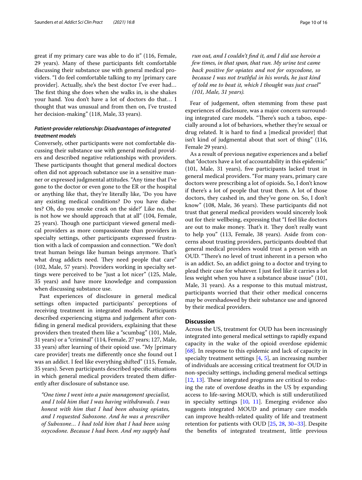great if my primary care was able to do it" (116, Female, 29 years). Many of these participants felt comfortable discussing their substance use with general medical providers. "I do feel comfortable talking to my [primary care provider]. Actually, she's the best doctor I've ever had… The first thing she does when she walks in, is she shakes your hand. You don't have a lot of doctors do that… I thought that was unusual and from then on, I've trusted her decision-making" (118, Male, 33 years).

## *Patient‑provider relationship: Disadvantages of integrated treatment models*

Conversely, other participants were not comfortable discussing their substance use with general medical providers and described negative relationships with providers. These participants thought that general medical doctors often did not approach substance use in a sensitive manner or expressed judgmental attitudes. "Any time that I've gone to the doctor or even gone to the ER or the hospital or anything like that, they're literally like, 'Do you have any existing medical conditions? Do you have diabetes? Oh, do you smoke crack on the side?' Like no, that is not how we should approach that at all" (104, Female, 25 years). Though one participant viewed general medical providers as more compassionate than providers in specialty settings, other participants expressed frustration with a lack of compassion and connection. "We don't treat human beings like human beings anymore. Tat's what drug addicts need. They need people that care" (102, Male, 57 years). Providers working in specialty settings were perceived to be "just a lot nicer" (125, Male, 35 years) and have more knowledge and compassion when discussing substance use.

Past experiences of disclosure in general medical settings often impacted participants' perceptions of receiving treatment in integrated models. Participants described experiencing stigma and judgement after confding in general medical providers, explaining that these providers then treated them like a "scumbag" (101, Male, 31 years) or a "criminal" (114, Female, 27 years; 127, Male, 33 years) after learning of their opioid use. "My [primary care provider] treats me diferently once she found out I was an addict. I feel like everything shifted" (115, Female, 35 years). Seven participants described specifc situations in which general medical providers treated them diferently after disclosure of substance use.

*"One time I went into a pain management specialist, and I told him that I was having withdrawals. I was honest with him that I had been abusing opiates, and I requested Suboxone. And he was a prescriber of Suboxone… I had told him that I had been using oxycodone. Because I had been. And my supply had* 

*run out, and I couldn't fnd it, and I did use heroin a few times, in that span, that run. My urine test came back positive for opiates and not for oxycodone, so because I was not truthful in his words, he just kind of told me to beat it, which I thought was just cruel" (101, Male, 31 years).*

Fear of judgement, often stemming from these past experiences of disclosure, was a major concern surrounding integrated care models. "There's such a taboo, especially around a lot of behaviors, whether they're sexual or drug related. It is hard to fnd a [medical provider] that isn't kind of judgmental about that sort of thing" (116, Female 29 years).

As a result of previous negative experiences and a belief that "doctors have a lot of accountability in this epidemic" (101, Male, 31 years), fve participants lacked trust in general medical providers. "For many years, primary care doctors were prescribing a lot of opioids. So, I don't know if there's a lot of people that trust them. A lot of those doctors, they cashed in, and they've gone on. So, I don't know" (108, Male, 36 years). These participants did not trust that general medical providers would sincerely look out for their wellbeing, expressing that "I feel like doctors are out to make money. That's it. They don't really want to help you" (113, Female, 38 years). Aside from concerns about trusting providers, participants doubted that general medical providers would trust a person with an OUD. "There's no level of trust inherent in a person who is an addict. So, an addict going to a doctor and trying to plead their case for whatever. I just feel like it carries a lot less weight when you have a substance abuse issue" (101, Male, 31 years). As a response to this mutual mistrust, participants worried that their other medical concerns may be overshadowed by their substance use and ignored by their medical providers.

## **Discussion**

Across the US, treatment for OUD has been increasingly integrated into general medical settings to rapidly expand capacity in the wake of the opioid overdose epidemic [[68\]](#page-16-21). In response to this epidemic and lack of capacity in specialty treatment settings  $[4, 5]$  $[4, 5]$  $[4, 5]$  $[4, 5]$ , an increasing number of individuals are accessing critical treatment for OUD in non-specialty settings, including general medical settings  $[12, 13]$  $[12, 13]$  $[12, 13]$  $[12, 13]$ . These integrated programs are critical to reducing the rate of overdose deaths in the US by expanding access to life-saving MOUD, which is still underutilized in specialty settings [[10,](#page-15-8) [11](#page-15-9)]. Emerging evidence also suggests integrated MOUD and primary care models can improve health-related quality of life and treatment retention for patients with OUD [\[25,](#page-15-19) [28,](#page-15-21) [30](#page-15-24)[–33](#page-15-25)]. Despite the benefts of integrated treatment, little previous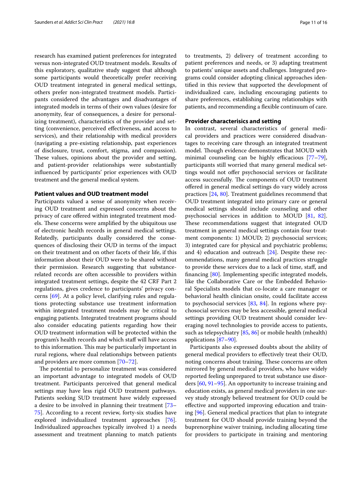research has examined patient preferences for integrated versus non-integrated OUD treatment models. Results of this exploratory, qualitative study suggest that although some participants would theoretically prefer receiving OUD treatment integrated in general medical settings, others prefer non-integrated treatment models. Participants considered the advantages and disadvantages of integrated models in terms of their own values (desire for anonymity, fear of consequences, a desire for personalizing treatment), characteristics of the provider and setting (convenience, perceived efectiveness, and access to services), and their relationship with medical providers (navigating a pre-existing relationship, past experiences of disclosure, trust, comfort, stigma, and compassion). These values, opinions about the provider and setting, and patient-provider relationships were substantially infuenced by participants' prior experiences with OUD treatment and the general medical system.

#### **Patient values and OUD treatment model**

Participants valued a sense of anonymity when receiving OUD treatment and expressed concerns about the privacy of care offered within integrated treatment models. These concerns were amplified by the ubiquitous use of electronic health records in general medical settings. Relatedly, participants dually considered the consequences of disclosing their OUD in terms of the impact on their treatment and on other facets of their life, if this information about their OUD were to be shared without their permission. Research suggesting that substancerelated records are often accessible to providers within integrated treatment settings, despite the 42 CRF Part 2 regulations, gives credence to participants' privacy concerns [\[69](#page-16-22)]. At a policy level, clarifying rules and regulations protecting substance use treatment information within integrated treatment models may be critical to engaging patients. Integrated treatment programs should also consider educating patients regarding how their OUD treatment information will be protected within the program's health records and which staf will have access to this information. This may be particularly important in rural regions, where dual relationships between patients and providers are more common [[70–](#page-16-23)[72\]](#page-16-24).

The potential to personalize treatment was considered an important advantage to integrated models of OUD treatment. Participants perceived that general medical settings may have less rigid OUD treatment pathways. Patients seeking SUD treatment have widely expressed a desire to be involved in planning their treatment [[73–](#page-16-25) [75\]](#page-16-26). According to a recent review, forty-six studies have explored individualized treatment approaches [\[76](#page-16-27)]. Individualized approaches typically involved 1) a needs assessment and treatment planning to match patients to treatments, 2) delivery of treatment according to patient preferences and needs, or 3) adapting treatment to patients' unique assets and challenges. Integrated programs could consider adopting clinical approaches identifed in this review that supported the development of individualized care, including encouraging patients to share preferences, establishing caring relationships with patients, and recommending a fexible continuum of care.

## **Provider characterisics and setting**

In contrast, several characteristics of general medical providers and practices were considered disadvantages to receiving care through an integrated treatment model. Though evidence demonstrates that MOUD with minimal counseling can be highly efficacious  $[77-79]$  $[77-79]$  $[77-79]$ , participants still worried that many general medical settings would not offer psychosocial services or facilitate access successfully. The components of OUD treatment ofered in general medical settings do vary widely across practices [\[24](#page-15-22), [80\]](#page-16-30). Treatment guidelines recommend that OUD treatment integrated into primary care or general medical settings should include counseling and other psychosocial services in addition to MOUD [[81,](#page-16-31) [82](#page-16-32)]. These recommendations suggest that integrated OUD treatment in general medical settings contain four treatment components: 1) MOUD; 2) psychosocial services; 3) integrated care for physical and psychiatric problems; and 4) education and outreach [[24\]](#page-15-22). Despite these recommendations, many general medical practices struggle to provide these services due to a lack of time, staf, and fnancing [[80\]](#page-16-30). Implementing specifc integrated models, like the Collaborative Care or the Embedded Behavioral Specialists models that co-locate a care manager or behavioral health clinician onsite, could facilitate access to psychosocial services  $[83, 84]$  $[83, 84]$  $[83, 84]$  $[83, 84]$  $[83, 84]$ . In regions where psychosocial services may be less accessible, general medical settings providing OUD treatment should consider leveraging novel technologies to provide access to patients, such as telepsychiatry [\[85,](#page-17-0) [86](#page-17-1)] or mobile health (mhealth) applications [\[87](#page-17-2)[–90](#page-17-3)].

Participants also expressed doubts about the ability of general medical providers to efectively treat their OUD, noting concerns about training. These concerns are often mirrored by general medical providers, who have widely reported feeling unprepared to treat substance use disorders [[60](#page-16-35), [91–](#page-17-4)[95\]](#page-17-5). An opportunity to increase training and education exists, as general medical providers in one survey study strongly believed treatment for OUD could be efective and supported improving education and training [[96](#page-17-6)]. General medical practices that plan to integrate treatment for OUD should provide training beyond the buprenorphine waiver training, including allocating time for providers to participate in training and mentoring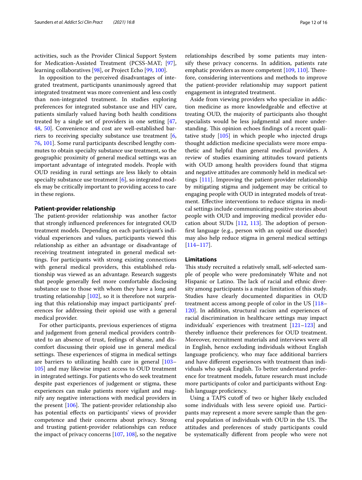activities, such as the Provider Clinical Support System for Medication-Assisted Treatment (PCSS-MAT; [\[97](#page-17-7)], learning collaboratives [\[98](#page-17-8)], or Project Echo [[99,](#page-17-9) [100\]](#page-17-10).

In opposition to the perceived disadvantages of integrated treatment, participants unanimously agreed that integrated treatment was more convenient and less costly than non-integrated treatment. In studies exploring preferences for integrated substance use and HIV care, patients similarly valued having both health conditions treated by a single set of providers in one setting [\[47](#page-16-3), [48,](#page-16-5) [50](#page-16-4)]. Convenience and cost are well-established barriers to receiving specialty substance use treatment [\[6](#page-15-5), [76,](#page-16-27) [101](#page-17-11)]. Some rural participants described lengthy commutes to obtain specialty substance use treatment, so the geographic proximity of general medical settings was an important advantage of integrated models. People with OUD residing in rural settings are less likely to obtain specialty substance use treatment  $[6]$  $[6]$ , so integrated models may be critically important to providing access to care in these regions.

#### **Patient‑provider relationship**

The patient-provider relationship was another factor that strongly infuenced preferences for integrated OUD treatment models. Depending on each participant's individual experiences and values, participants viewed this relationship as either an advantage or disadvantage of receiving treatment integrated in general medical settings. For participants with strong existing connections with general medical providers, this established relationship was viewed as an advantage. Research suggests that people generally feel more comfortable disclosing substance use to those with whom they have a long and trusting relationship [[102\]](#page-17-12), so it is therefore not surprising that this relationship may impact participants' preferences for addressing their opioid use with a general medical provider.

For other participants, previous experiences of stigma and judgement from general medical providers contributed to an absence of trust, feelings of shame, and discomfort discussing their opioid use in general medical settings. These experiences of stigma in medical settings are barriers to utilizating health care in general [[103–](#page-17-13) [105](#page-17-14)] and may likewise impact access to OUD treatment in integrated settings. For patients who do seek treatment despite past experiences of judgement or stigma, these experiences can make patients more vigilant and magnify any negative interactions with medical providers in the present  $[106]$ . The patient-provider relationship also has potential efects on participants' views of provider competence and their concerns about privacy. Strong and trusting patient-provider relationships can reduce the impact of privacy concerns [[107,](#page-17-16) [108](#page-17-17)], so the negative relationships described by some patients may intensify these privacy concerns. In addition, patients rate emphatic providers as more competent  $[109, 110]$  $[109, 110]$  $[109, 110]$  $[109, 110]$ . Therefore, considering interventions and methods to improve the patient-provider relationship may support patient engagement in integrated treatment.

Aside from viewing providers who specialize in addiction medicine as more knowledgeable and efective at treating OUD, the majority of participants also thought specialists would be less judgmental and more understanding. This opinion echoes findings of a recent qualitative study [\[105\]](#page-17-14) in which people who injected drugs thought addiction medicine specialists were more empathetic and helpful than general medical providers. A review of studies examining attitudes toward patients with OUD among health providers found that stigma and negative attitudes are commonly held in medical settings [[111](#page-17-20)]. Improving the patient-provider relationship by mitigating stigma and judgement may be critical to engaging people with OUD in integrated models of treatment. Efective interventions to reduce stigma in medical settings include communicating positive stories about people with OUD and improving medical provider education about SUDs  $[112, 113]$  $[112, 113]$  $[112, 113]$ . The adoption of personfrst language (e.g., person with an opioid use disorder) may also help reduce stigma in general medical settings [[114–](#page-17-23)[117](#page-17-24)].

## **Limitations**

This study recruited a relatively small, self-selected sample of people who were predominately White and not Hispanic or Latino. The lack of racial and ethnic diversity among participants is a major limitation of this study. Studies have clearly documented disparities in OUD treatment access among people of color in the US [[118–](#page-17-25) [120](#page-17-26)]. In addition, structural racism and experiences of racial discrimination in healthcare settings may impact individuals' experiences with treatment [\[121–](#page-17-27)[123\]](#page-17-28) and thereby infuence their preferences for OUD treatment. Moreover, recruitment materials and interviews were all in English, hence excluding individuals without English language proficiency, who may face additional barriers and have diferent experiences with treatment than individuals who speak English. To better understand preference for treatment models, future research must include more participants of color and participants without English language proficiency.

Using a TAPS cutoff of two or higher likely excluded some individuals with less severe opioid use. Participants may represent a more severe sample than the general population of individuals with OUD in the US. The attitudes and preferences of study participants could be systematically diferent from people who were not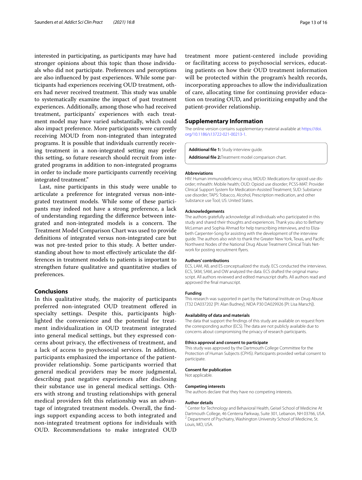interested in participating, as participants may have had stronger opinions about this topic than those individuals who did not participate. Preferences and perceptions are also infuenced by past experiences. While some participants had experiences receiving OUD treatment, others had never received treatment. This study was unable to systematically examine the impact of past treatment experiences. Additionally, among those who had received treatment, participants' experiences with each treatment model may have varied substantially, which could also impact preference. More participants were currently receiving MOUD from non-integrated than integrated programs. It is possible that individuals currently receiving treatment in a non-integrated setting may prefer this setting, so future research should recruit from integrated programs in addition to non-integrated programs in order to include more participants currently receiving integrated treatment."

Last, nine participants in this study were unable to articulate a preference for integrated versus non-integrated treatment models. While some of these participants may indeed not have a strong preference, a lack of understanding regarding the diference between integrated and non-integrated models is a concern. The Treatment Model Comparison Chart was used to provide defnitions of integrated versus non-integrated care but was not pre-tested prior to this study. A better understanding about how to most efectively articulate the differences in treatment models to patients is important to strengthen future qualitative and quantitative studies of preferences.

#### **Conclusions**

In this qualitative study, the majority of participants preferred non-integrated OUD treatment ofered in specialty settings. Despite this, participants highlighted the convenience and the potential for treatment individualization in OUD treatment integrated into general medical settings, but they expressed concerns about privacy, the efectiveness of treatment, and a lack of access to psychosocial services. In addition, participants emphasized the importance of the patientprovider relationship. Some participants worried that general medical providers may be more judgmental, describing past negative experiences after disclosing their substance use in general medical settings. Others with strong and trusting relationships with general medical providers felt this relationship was an advantage of integrated treatment models. Overall, the fndings support expanding access to both integrated and non-integrated treatment options for individuals with OUD. Recommendations to make integrated OUD treatment more patient-centered include providing or facilitating access to psychosocial services, educating patients on how their OUD treatment information will be protected within the program's health records, incorporating approaches to allow the individualization of care, allocating time for continuing provider education on treating OUD, and prioritizing empathy and the patient-provider relationship.

#### **Supplementary Information**

The online version contains supplementary material available at [https://doi.](https://doi.org/10.1186/s13722-021-00213-1) [org/10.1186/s13722-021-00213-1](https://doi.org/10.1186/s13722-021-00213-1).

<span id="page-14-1"></span><span id="page-14-0"></span>**Additional fle 1:** Study interview guide.

**Additional fle 2:**Treatment model comparison chart.

#### **Abbreviations**

HIV: Human immunodeficiency virus; MOUD: Medications for opioid use disorder; mhealth: Mobile health; OUD: Opioid use disorder; PCSS-MAT: Provider Clinical Support System for Medication-Assisted Treatment; SUD: Substance use disorder; TAPS: Tobacco, Alcohol, Prescription medication, and other Substance use Tool; US: United States.

#### **Acknowledgements**

The authors gratefully acknowledge all individuals who participated in this study and shared their thoughts and experiences. Thank you also to Bethany McLeman and Sophia Ahmad for help transcribing interviews, and to Elizabeth Carpenter-Song for assisting with the development of the interview guide. The authors also wish to thank the Greater New York, Texas, and Pacifc Northwest Nodes of the National Drug Abuse Treatment Clinical Trials Net‑ work for posting recruitment fyers.

#### **Authors' contributions**

ECS, LAM, AB, and ES conceptualized the study. ECS conducted the interviews. ECS, SKM, SAM, and OW analyzed the data. ECS drafted the original manuscript. All authors reviewed and edited manuscript drafts. All authors read and approved the fnal manuscript.

#### **Funding**

This research was supported in part by the National Institute on Drug Abuse (T32 DA037202 [PI: Alan Budney]; NIDA P30 DA029926 [PI: Lisa Marsch]).

#### **Availability of data and materials**

The data that support the fndings of this study are available on request from the corresponding author (ECS). The data are not publicly available due to concerns about compromising the privacy of research participants.

#### **Ethics approval and consent to participate**

This study was approved by the Dartmouth College Committee for the Protection of Human Subjects (CPHS). Participants provided verbal consent to participate.

#### **Consent for publication**

Not applicable.

#### **Competing interests**

The authors declare that they have no competing interests.

#### **Author details**

<sup>1</sup> Center for Technology and Behavioral Health, Geisel School of Medicine At Dartmouth College, 46 Centerra Parkway, Suite 301, Lebanon, NH 03766, USA. <sup>2</sup> Department of Psychiatry, Washington University School of Medicine, St. Louis, MO, USA.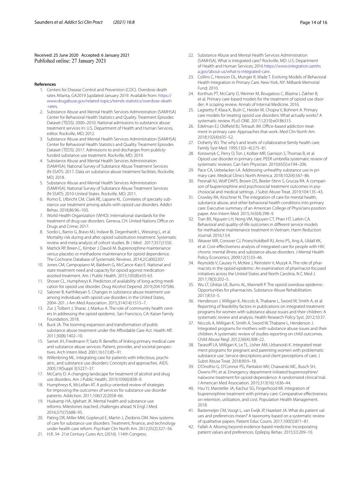Received: 25 June 2020 Accepted: 6 January 2021<br>Published online: 27 January 2021

#### <span id="page-15-0"></span>**References**

- 1. Centers for Disease Control and Prevention (CDC). Overdose death rates Atlanta, GA2019 [updated January 2019. Available from: [https://](https://www.drugabuse.gov/related-topics/trends-statistics/overdose-death-rates) [www.drugabuse.gov/related-topics/trends-statistics/overdose-death](https://www.drugabuse.gov/related-topics/trends-statistics/overdose-death-rates) [-rates.](https://www.drugabuse.gov/related-topics/trends-statistics/overdose-death-rates)
- <span id="page-15-1"></span>2. Substance Abuse and Mental Health Services Administration (SAMHSA) Center for Behavioral Health Statistics and Quality. Treatment Episodes Dataset (TEDS): 2000–2010. National admissions to substance abuse treatment services In: U.S. Department of Health and Human Services, editor. Rockville, MD; 2012.
- <span id="page-15-2"></span>3. Substance Abuse and Mental Health Services Administration (SAMHSA) Center for Behavioral Health Statistics and Quality. Treatment Episodes Dataset (TEDS): 2017. Admissions to and discharges from publiclyfunded substance use treatment. Rockville, MD; 2019.
- <span id="page-15-3"></span>4. Substance Abuse and Mental Health Services Administration (SAMHSA). National Survey of Substance Abuse Treatment Services (N-SSATS: 2017. Data on substance abuse treatment facilities. Rockville, MD; 2018.
- <span id="page-15-4"></span>5. Substance Abuse and Mental Health Services Administration (SAMHSA). National Survey of Substance Abuse Treatment Services (N-SSATS: 2010-United States. Rockville, MD; 2011.
- <span id="page-15-5"></span>6. Romo E, Ulbricht CM, Clark RE, Lapane KL. Correlates of specialty substance use treatment among adults with opioid use disorders. Addict Behav. 2018;86:96–103.
- <span id="page-15-6"></span>7. World Health Organization (WHO). International standards for the treatment of drug use disorders. Geneva, CH: United Nations Office on Drugs and Crime; 2017.
- 8. Sordo L, Barrio G, Bravo MJ, Indave BI, Degenhardt L, Wiessing L, et al. Mortality risk during and after opioid substitution treatment: Systematic review and meta-analysis of cohort studies. Br J Med . 2017;357:j1550.
- <span id="page-15-7"></span>9. Mattick RP, Breen C, Kimber J, Davoli M. Buprenorphine maintenance versus placebo or methadone maintenance for opioid dependence. The Cochrane Database of Systematic Reviews. 2014;2:Cd002207.
- <span id="page-15-8"></span>10. Jones CM, Campopiano M, Baldwin G, McCance-Katz E. National and state treatment need and capacity for opioid agonist medicationassisted treatment. Am J Public Health. 2015;105(8):e55-63.
- <span id="page-15-9"></span>11. Shover CL, Humphreys K. Predictors of availability of long-acting medication for opioid use disorder. Drug Alcohol Depend. 2019;204:107586.
- <span id="page-15-10"></span>12. Saloner B, Karthikeyan S. Changes in substance abuse treatment use among individuals with opioid use disorders in the United States, 2004–201. J Am Med Association. 2015;314(14):1515–7.
- <span id="page-15-11"></span>13. Zur J, Tolbert J, Sharac J, Markus A. The role of community health centers in addressing the opioid epidemic. San Francisco, CA: Kaiser Family Foundation; 2018.
- <span id="page-15-12"></span>14. Buck JA. The looming expansion and transformation of public substance abuse treatment under the Affordable Care Act. Health Aff. 2011;30(8):1402–10.
- 15. Samet JH, Friedmann P, Saitz R. Benefts of linking primary medical care and substance abuse services: Patient, provider, and societal perspectives. Arch Intern Med. 2001;161(1):85–91.
- 16. Willenbring ML. Integrating care for patients with infectious, psychiatric, and substance use disorders: Concepts and approaches. AIDS. 2005;19(Suppl 3):S227–37.
- <span id="page-15-13"></span>17. McCarty D. A changing landscape for treatment of alcohol and drug use disorders. Am J Public Health. 2019;109(6):838–9.
- <span id="page-15-14"></span>18. Humphreys K, McLellan AT. A policy-oriented review of strategies for improving the outcomes of services for substance use disorder patients. Addiction. 2011;106(12):2058–66.
- 19. Huskamp HA, Iglehart JK. Mental health and substance-use reforms: Milestones reached, challenges ahead. N Engl J Med. 2016;375(7):688–95.
- 20. Pating DR, Miller MM, Goplerud E, Martin J, Ziedonis DM. New systems of care for substance use disorders: Treatment, fnance, and technology under health care reform. Psychiatr Clin North Am. 2012;35(2):327–56.
- <span id="page-15-15"></span>21. H.R. 34- 21st Century Cures Act, (2016). 114th Congress.
- <span id="page-15-16"></span>22. Substance Abuse and Mental Health Services Administration (SAMHSA). What is integrated care? Rockville, MD: U.S. Department of Health and Human Services; 2016 [https://www.integration.samhs](https://www.integration.samhsa.gov/about-us/what-is-integrated-care) [a.gov/about-us/what-is-integrated-care](https://www.integration.samhsa.gov/about-us/what-is-integrated-care).
- <span id="page-15-17"></span>23. Collins C, Hewson DL, Munger R, Wade T. Evolving Models of Behavioral Health Integration in Primary Care. New York, NY: Milbank Memorial Fund; 2010.
- <span id="page-15-22"></span>24. Korthuis PT, McCarty D, Weimer M, Bougatsos C, Blazina I, Zakher B, et al. Primary care-based models for the treatment of opioid use disorder: A scoping review. Annals of Internal Medicine. 2016.
- <span id="page-15-19"></span>25. Lagisetty P, Klasa K, Bush C, Heisler M, Chopra V, Bohnert A. Primary care models for treating opioid use disorders: What actually works? A systematic review. PLoS ONE. 2017;12(10):e0186315.
- <span id="page-15-18"></span>26. Edelman EJ, Oldfield BJ, Tetrault JM. Office-based addiction treatment in primary care: Approaches that work. Med Clin North Am. 2018;102(4):635–52.
- <span id="page-15-20"></span>27. Doherty WJ. The why's and levels of collaborative family health care. Family Syst Med. 1995;13(3–4):275–81.
- <span id="page-15-21"></span>28. Korownyk C, Perry D, Ton J, Kolber MR, Garrison S, Thomas B, et al. Opioid use disorder in primary care: PEER umbrella systematic review of systematic reviews. Can Fam Physician. 2019;65(5):e194–206.
- <span id="page-15-23"></span>29. Pace CA, Uebelacker LA. Addressing unhealthy substance use in primary care. Medical Clinics North America. 2018;102(4):567–86.
- <span id="page-15-24"></span>30. Presnall NJ, Wolf DAPS, Brown DS, Beeler-Stinn S, Grucza RA. A comparison of buprenorphine and psychosocial treatment outcomes in psychosocial and medical settings. J Subst Abuse Treat. 2019;104:135–43.
- 31. Crowley RA, Kirschner N. The integration of care for mental health, substance abuse, and other behavioral health conditions into primary care: Executive summary of an American College of Physicians position paper. Ann Intern Med. 2015;163(4):298–9.
- 32. Tran BX, Nguyen LH, Nong VM, Nguyen CT, Phan HT, Latkin CA. Behavioral and quality-of-life outcomes in diferent service models for methadone maintenance treatment in Vietnam. Harm Reduction Journal. 2016;13:4.
- <span id="page-15-25"></span>33. Weaver MR, Conover CJ, Proescholdbell RJ, Arno PS, Ang A, Uldall KK, et al. Cost-efectiveness analysis of integrated care for people with HIV, chronic mental illness and substance abuse disorders. J Mental Health Policy Economics. 2009;12(1):33–46.
- <span id="page-15-26"></span>34. Reynolds V, Causey H, McKee J, Reinstein V, Muzyk A. The role of pharmacists in the opioid epidemic: An examination of pharmacist-focused initiatives across the United States and North Carolina. N C Med J. 2017;78(3):202–5.
- <span id="page-15-27"></span>35. Wu LT, Ghitza UE, Burns AL, Mannelli P. The opioid overdose epidemic: Opportunities for pharmacists. Substance Abuse Rehabilitation. 2017;8:53–5.
- <span id="page-15-28"></span>36. Henderson J, Milligan K, Niccols A, Thabane L, Sword W, Smith A, et al. Reporting of feasibility factors in publications on integrated treatment programs for women with substance abuse issues and their children: A systematic review and analysis. Health Research Policy Syst. 2012;10:37.
- 37. Niccols A, Milligan K, Smith A, Sword W, Thabane L, Henderson J. Integrated programs for mothers with substance abuse issues and their children: A systematic review of studies reporting on child outcomes. Child Abuse Negl. 2012;36(4):308–22.
- <span id="page-15-29"></span>38. Tarasoff LA, Milligan K, Le TL, Usher AM, Urbanoski K. Integrated treatment programs for pregnant and parenting women with problematic substance use: Service descriptions and client perceptions of care. J Subst Abuse Treat. 2018;90:9–18.
- <span id="page-15-30"></span>39. D'Onofrio G, O'Connor PG, Pantalon MV, Chawarski MC, Busch SH, Owens PH, et al. Emergency department-initiated buprenorphine/ naloxone treatment for opioid dependence: A randomized clinical trial. J American Med Association. 2015;313(16):1636–44.
- <span id="page-15-31"></span>40. Hsu YJ, Marsteller JA, Kachur SG, Fingerhood MI. Integration of buprenorphine treatment with primary care: Comparative efectiveness on retention, utilization, and cost. Population Health Management. 2018.
- <span id="page-15-32"></span>41. Bastemeijer CM, Voogt L, van Ewijk JP, Hazelzet JA. What do patient values and preferences mean? A taxonomy based on a systematic review of qualitative papers. Patient Educ Couns. 2017;100(5):871–81.
- <span id="page-15-33"></span>42. Fallah A. Moving beyond evidence-based medicine: Incorporating patient values and preferences. Epilepsy Behav. 2015;53:209–10.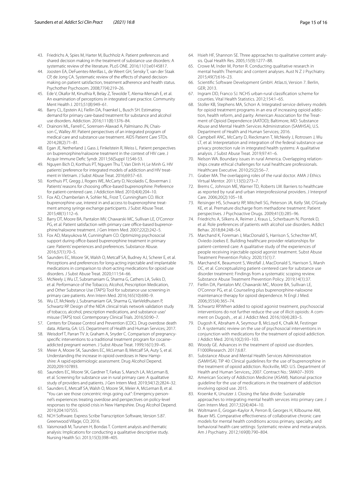- 43. Friedrichs A, Spies M, Harter M, Buchholz A. Patient preferences and shared decision making in the treatment of substance use disorders: A systematic review of the literature. PLoS ONE. 2016;11(1):e0145817.
- <span id="page-16-0"></span>44. Joosten EA, DeFuentes-Merillas L, de Weert GH, Sensky T, van der Staak CP, de Jong CA. Systematic review of the efects of shared decisionmaking on patient satisfaction, treatment adherence and health status. Psychother Psychosom. 2008;77(4):219–26.
- <span id="page-16-1"></span>45. Ede V, Okafor M, Kinuthia R, Belay Z, Tewolde T, Alema-Mensah E, et al. An examination of perceptions in integrated care practice. Community Ment Health | 2015;51(8):949-61
- <span id="page-16-2"></span>46. Barry CL, Epstein AJ, Fiellin DA, Fraenkel L, Busch SH. Estimating demand for primary care-based treatment for substance and alcohol use disorders. Addiction. 2016;111(8):1376–84.
- <span id="page-16-3"></span>47. Drainoni ML, Farrell C, Sorensen-Alawad A, Palmisano JN, Chaisson C, Walley AY. Patient perspectives of an integrated program of medical care and substance use treatment. AIDS Patient Care STDs. 2014;28(2):71–81.
- <span id="page-16-5"></span>48. Egan JE, Netherland J, Gass J, Finkelstein R, Weiss L. Patient perspectives on buprenorphine/naloxone treatment in the context of HIV care. J Acquir Immune Defc Syndr. 2011;56(Suppl 1):S46-53.
- 49. Nguyen Bich D, Korthuis PT, Nguyen Thu T, Van Dinh H, Le Minh G. HIV patients' preference for integrated models of addiction and HIV treatment in Vietnam. J Subst Abuse Treat. 2016;69:57–63.
- <span id="page-16-4"></span>50. Korthuis PT, Gregg J, Rogers WE, McCarty D, Nicolaidis C, Boverman J. Patients' reasons for choosing office-based buprenorphine: Preference for patient-centered care. J Addiction Med. 2010;4(4):204–10.
- <span id="page-16-6"></span>51. Fox AD, Chamberlain A, Sohler NL, Frost T, Cunningham CO, Illicit buprenorphine use, interest in and access to buprenorphine treatment among syringe exchange participants. J Subst Abuse Treat. 2015;48(1):112–6.
- <span id="page-16-7"></span>52. Barry DT, Moore BA, Pantalon MV, Chawarski MC, Sullivan LE, O'Connor PG, et al. Patient satisfaction with primary care office-based buprenorphine/naloxone treatment. J Gen Intern Med. 2007;22(2):242–5.
- <span id="page-16-8"></span>53. Fox AD, Masyukova M, Cunningham CO. Optimizing psychosocial support during office-based buprenorphine treatment in primary care: Patients' experiences and preferences. Substance Abuse. 2016;37(1):70–5.
- <span id="page-16-9"></span>54. Saunders EC, Moore SK, Walsh O, Metcalf SA, Budney AJ, Scherer E, et al. Perceptions and preferences for long-acting injectable and implantable medications in comparison to short-acting medications for opioid use disorders. J Subst Abuse Treat. 2020;111:54–66.
- <span id="page-16-10"></span>55. McNeely J, Wu LT, Subramaniam G, Sharma G, Cathers LA, Svikis D, et al. Performance of the Tobacco, Alcohol, Prescription Medication, and Other Substance Use (TAPS) Tool for substance use screening in primary care patients. Ann Intern Med. 2016;165(10):690–9.
- <span id="page-16-11"></span>56. Wu LT, McNeely J, Subramaniam GA, Sharma G, VanVeldhuisen P, Schwartz RP. Design of the NIDA clinical trials network validation study of tobacco, alcohol, prescription medications, and substance use/ misuse (TAPS) tool. Contemporary Clinical Trials. 2016;50:90–7.
- <span id="page-16-12"></span>57. Centers for Disease Control and Prevention (CDC). Drug overdose death data. Atlanta, GA: U.S. Department of Health and Human Services; 2017.
- <span id="page-16-13"></span>58. Weisdorf T, Parran TV Jr, Graham A, Snyder C. Comparison of pregnancyspecifc interventions to a traditional treatment program for cocaineaddicted pregnant women. J Subst Abuse Treat. 1999;16(1):39–45.
- <span id="page-16-14"></span>59. Meier A, Moore SK, Saunders EC, McLeman B, Metcalf SA, Auty S, et al. Understanding the increase in opioid overdoses in New Hampshire: A rapid epidemiologic assessment. Drug Alcohol Depend. 2020;209:107893.
- <span id="page-16-35"></span>60. Saunders EC, Moore SK, Gardner T, Farkas S, Marsch LA, McLeman B, et al. Screening for substance use in rural primary care: A qualitative study of providers and patients. J Gen Intern Med. 2019;34(12):2824–32.
- <span id="page-16-15"></span>61. Saunders E, Metcalf SA, Walsh O, Moore SK, Meier A, McLeman B, et al. "You can see those concentric rings going out": Emergency personnel's experiences treating overdose and perspectives on policy-level responses to the opioid crisis in New Hampshire. Drug Alcohol Depend. 2019;204:107555.
- <span id="page-16-16"></span>62. NCH Software. Express Scribe Transcription Software, Version 5.87. Greenwood Village, CO; 2016.
- <span id="page-16-17"></span>63. Vaismoradi M, Turunen H, Bondas T. Content analysis and thematic analysis: Implications for conducting a qualitative descriptive study. Nursing Health Sci. 2013;15(3):398–405.
- 64. Hsieh HF, Shannon SE. Three approaches to qualitative content analysis. Qual Health Res. 2005;15(9):1277–88.
- <span id="page-16-18"></span>65. Crowe M, Inder M, Porter R. Conducting qualitative research in mental health: Thematic and content analyses. Aust N Z J Psychiatry. 2015;49(7):616–23.
- <span id="page-16-19"></span>66. Scientifc Software Development GmbH. Atlas.ti, Version 7. Berlin, GER; 2013.
- <span id="page-16-20"></span>67. Ingram DD, Franco SJ. NCHS urban-rural classifcation scheme for counties. Vital Health Statistics. 2012;154:1–65.
- <span id="page-16-21"></span>68. Stoller KB, Stephens MA, Schorr A. Integrated service delivery models for opioid treatment programs in an era of increasing opioid addiction, health reform, and parity. American Association for the Treatment of Opioid Dependence (AATOD); Baltimore, MD: Substance Abuse and Mental Health Services Administration (SAMHSA), U.S. Department of Health and Human Services; 2016.
- <span id="page-16-22"></span>69. Campbell ANC, McCarty D, Rieckmann T, McNeely J, Rotrosen J, Wu LT, et al. Interpretation and integration of the federal substance use privacy protection rule in integrated health systems: A qualitative analysis. J Subst Abuse Treat. 2019;97:41–6.
- <span id="page-16-23"></span>70. Nelson WA. Boundary issues in rural America. Overlapping relationships create ethical challenges for rural healthcare professionals. Healthcare Executive. 2010;25(2):56–7.
- 71. Graber MA. The overlapping roles of the rural doctor. AMA J Ethics Virtual Mentor. 2011;13(5):273–7.
- <span id="page-16-24"></span>72. Brems C, Johnson ME, Warner TD, Roberts LW. Barriers to healthcare as reported by rural and urban interprofessional providers. J Interprof Care. 2006;20(2):105–18.
- <span id="page-16-25"></span>73. Reisinger HS, Schwartz RP, Mitchell SG, Peterson JA, Kelly SM, O'Grady KE, et al. Premature discharge from methadone treatment: Patient perspectives. J Psychoactive Drugs. 2009;41(3):285–96.
- 74. Friedrichs A, Silkens A, Reimer J, Kraus L, Scherbaum N, Piontek D, et al. Role preferences of patients with alcohol use disorders. Addict Behav. 2018;84:248–54.
- <span id="page-16-26"></span>75. Marchand K, Foreman J, MacDonald S, Harrison S, Schechter MT, Oviedo-Joekes E. Building healthcare provider relationships for patient-centered care: A qualitative study of the experiences of people receiving injectable opioid agonist treatment. Subst Abuse Treatment Prevention Policy. 2020;15(1):7.
- <span id="page-16-27"></span>76. Marchand K, Beaumont S, Westfall J, MacDonald S, Harrison S, Marsh DC, et al. Conceptualizing patient-centered care for substance use disorder treatment: Findings from a systematic scoping review. Substance Abuse Treatment Prevention Policy. 2019;14(1):37.
- <span id="page-16-28"></span>77. Fiellin DA, Pantalon MV, Chawarski MC, Moore BA, Sullivan LE, O'Connor PG, et al. Counseling plus buprenorphine-naloxone maintenance therapy for opioid dependence. N Engl J Med. 2006;355(4):365–74.
- 78. Schwartz RP.When added to opioid agonist treatment, psychosocial interventions do not further reduce the use of illicit opioids: A comment on Dugosh, , et al. J Addict Med. 2016;10(4):283–5.
- <span id="page-16-29"></span>Dugosh K, Abraham A, Seymour B, McLoyd K, Chalk M, Festinger D. A systematic review on the use of psychosocial interventions in conjunction with medications for the treatment of opioid addiction. J Addict Med. 2016;10(2):93–103.
- <span id="page-16-30"></span>80. Woody GE. Advances in the treatment of opioid use disorders. F1000Research. 2017;6:87.
- <span id="page-16-31"></span>81. Substance Abuse and Mental Health Services Administration (SAMHSA). TIP 40: Clinical guidelines for the use of buprenorphine in the treatment of opioid addiction. Rockville, MD: U.S. Department of Health and Human Services,; 2007. Contract No.: SMA07–3939.
- <span id="page-16-32"></span>82. American Society of Addiction Medicine (ASAM). National practice guideline for the use of medications in the treatment of addiction involving opioid use. 2015.
- <span id="page-16-33"></span>83. Kroenke K, Unutzer J. Closing the false divide: Sustainable approaches to integrating mental health services into primary care. J Gen Intern Med. 2017;32(4):404–10.
- <span id="page-16-34"></span>84. Woltmann E, Grogan-Kaylor A, Perron B, Georges H, Kilbourne AM, Bauer MS. Comparative effectiveness of collaborative chronic care models for mental health conditions across primary, specialty, and behavioral health care settings: Systematic review and meta-analysis. Am J Psychiatry. 2012;169(8):790–804.